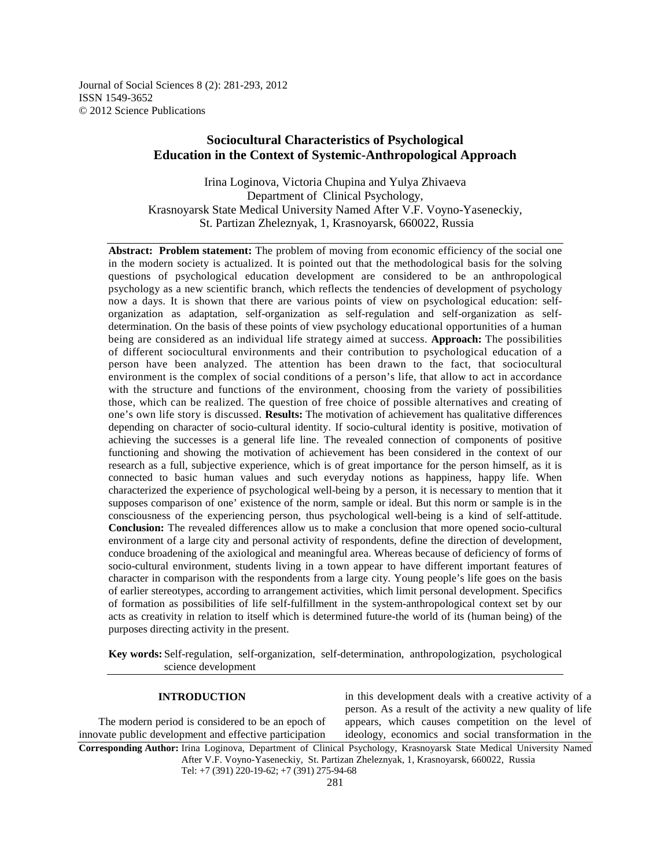Journal of Social Sciences 8 (2): 281-293, 2012 ISSN 1549-3652 © 2012 Science Publications

# **Sociocultural Characteristics of Psychological Education in the Context of Systemic-Anthropological Approach**

Irina Loginova, Victoria Chupina and Yulya Zhivaeva Department of Clinical Psychology, Krasnoyarsk State Medical University Named After V.F. Voyno-Yaseneckiy, St. Partizan Zheleznyak, 1, Krasnoyarsk, 660022, Russia

**Abstract: Problem statement:** The problem of moving from economic efficiency of the social one in the modern society is actualized. It is pointed out that the methodological basis for the solving questions of psychological education development are considered to be an anthropological psychology as a new scientific branch, which reflects the tendencies of development of psychology now a days. It is shown that there are various points of view on psychological education: selforganization as adaptation, self-organization as self-regulation and self-organization as selfdetermination. On the basis of these points of view psychology educational opportunities of a human being are considered as an individual life strategy aimed at success. **Approach:** The possibilities of different sociocultural environments and their contribution to psychological education of a person have been analyzed. The attention has been drawn to the fact, that sociocultural environment is the complex of social conditions of a person's life, that allow to act in accordance with the structure and functions of the environment, choosing from the variety of possibilities those, which can be realized. The question of free choice of possible alternatives and creating of one's own life story is discussed. **Results:** The motivation of achievement has qualitative differences depending on character of socio-cultural identity. If socio-cultural identity is positive, motivation of achieving the successes is a general life line. The revealed connection of components of positive functioning and showing the motivation of achievement has been considered in the context of our research as a full, subjective experience, which is of great importance for the person himself, as it is connected to basic human values and such everyday notions as happiness, happy life. When characterized the experience of psychological well-being by a person, it is necessary to mention that it supposes comparison of one' existence of the norm, sample or ideal. But this norm or sample is in the consciousness of the experiencing person, thus psychological well-being is a kind of self-attitude. **Conclusion:** The revealed differences allow us to make a conclusion that more opened socio-cultural environment of a large city and personal activity of respondents, define the direction of development, conduce broadening of the axiological and meaningful area. Whereas because of deficiency of forms of socio-cultural environment, students living in a town appear to have different important features of character in comparison with the respondents from a large city. Young people's life goes on the basis of earlier stereotypes, according to arrangement activities, which limit personal development. Specifics of formation as possibilities of life self-fulfillment in the system-anthropological context set by our acts as creativity in relation to itself which is determined future-the world of its (human being) of the purposes directing activity in the present.

**Key words:** Self-regulation, self-organization, self-determination, anthropologization, psychological science development

#### **INTRODUCTION**

 The modern period is considered to be an epoch of innovate public development and effective participation in this development deals with a creative activity of a person. As a result of the activity a new quality of life appears, which causes competition on the level of ideology, economics and social transformation in the

**Corresponding Author:** Irina Loginova, Department of Clinical Psychology, Krasnoyarsk State Medical University Named After V.F. Voyno-Yaseneckiy, St. Partizan Zheleznyak, 1, Krasnoyarsk, 660022, Russia Tel: +7 (391) 220-19-62; +7 (391) 275-94-68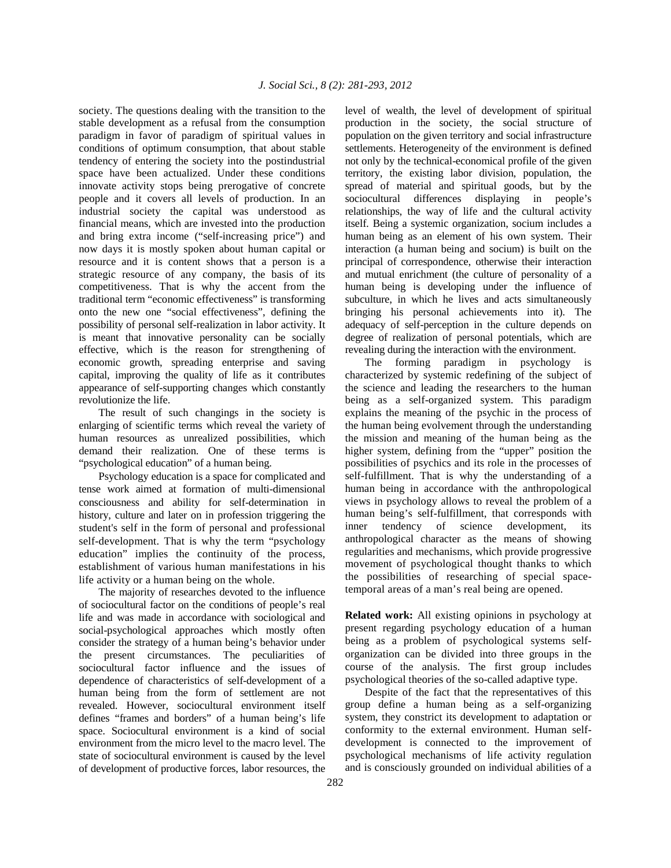society. The questions dealing with the transition to the stable development as a refusal from the consumption paradigm in favor of paradigm of spiritual values in conditions of optimum consumption, that about stable tendency of entering the society into the postindustrial space have been actualized. Under these conditions innovate activity stops being prerogative of concrete people and it covers all levels of production. In an industrial society the capital was understood as financial means, which are invested into the production and bring extra income ("self-increasing price") and now days it is mostly spoken about human capital or resource and it is content shows that a person is a strategic resource of any company, the basis of its competitiveness. That is why the accent from the traditional term "economic effectiveness" is transforming onto the new one "social effectiveness", defining the possibility of personal self-realization in labor activity. It is meant that innovative personality can be socially effective, which is the reason for strengthening of economic growth, spreading enterprise and saving capital, improving the quality of life as it contributes appearance of self-supporting changes which constantly revolutionize the life.

 The result of such changings in the society is enlarging of scientific terms which reveal the variety of human resources as unrealized possibilities, which demand their realization. One of these terms is "psychological education" of a human being.

 Psychology education is a space for complicated and tense work aimed at formation of multi-dimensional consciousness and ability for self-determination in history, culture and later on in profession triggering the student's self in the form of personal and professional self-development. That is why the term "psychology education" implies the continuity of the process, establishment of various human manifestations in his life activity or a human being on the whole.

 The majority of researches devoted to the influence of sociocultural factor on the conditions of people's real life and was made in accordance with sociological and social-psychological approaches which mostly often consider the strategy of a human being's behavior under the present circumstances. The peculiarities of sociocultural factor influence and the issues of dependence of characteristics of self-development of a human being from the form of settlement are not revealed. However, sociocultural environment itself defines "frames and borders" of a human being's life space. Sociocultural environment is a kind of social environment from the micro level to the macro level. The state of sociocultural environment is caused by the level of development of productive forces, labor resources, the

level of wealth, the level of development of spiritual production in the society, the social structure of population on the given territory and social infrastructure settlements. Heterogeneity of the environment is defined not only by the technical-economical profile of the given territory, the existing labor division, population, the spread of material and spiritual goods, but by the sociocultural differences displaying in people's relationships, the way of life and the cultural activity itself. Being a systemic organization, socium includes a human being as an element of his own system. Their interaction (a human being and socium) is built on the principal of correspondence, otherwise their interaction and mutual enrichment (the culture of personality of a human being is developing under the influence of subculture, in which he lives and acts simultaneously bringing his personal achievements into it). The adequacy of self-perception in the culture depends on degree of realization of personal potentials, which are revealing during the interaction with the environment.

 The forming paradigm in psychology is characterized by systemic redefining of the subject of the science and leading the researchers to the human being as a self-organized system. This paradigm explains the meaning of the psychic in the process of the human being evolvement through the understanding the mission and meaning of the human being as the higher system, defining from the "upper" position the possibilities of psychics and its role in the processes of self-fulfillment. That is why the understanding of a human being in accordance with the anthropological views in psychology allows to reveal the problem of a human being's self-fulfillment, that corresponds with inner tendency of science development, its anthropological character as the means of showing regularities and mechanisms, which provide progressive movement of psychological thought thanks to which the possibilities of researching of special spacetemporal areas of a man's real being are opened.

**Related work:** All existing opinions in psychology at present regarding psychology education of a human being as a problem of psychological systems selforganization can be divided into three groups in the course of the analysis. The first group includes psychological theories of the so-called adaptive type.

 Despite of the fact that the representatives of this group define a human being as a self-organizing system, they constrict its development to adaptation or conformity to the external environment. Human selfdevelopment is connected to the improvement of psychological mechanisms of life activity regulation and is consciously grounded on individual abilities of a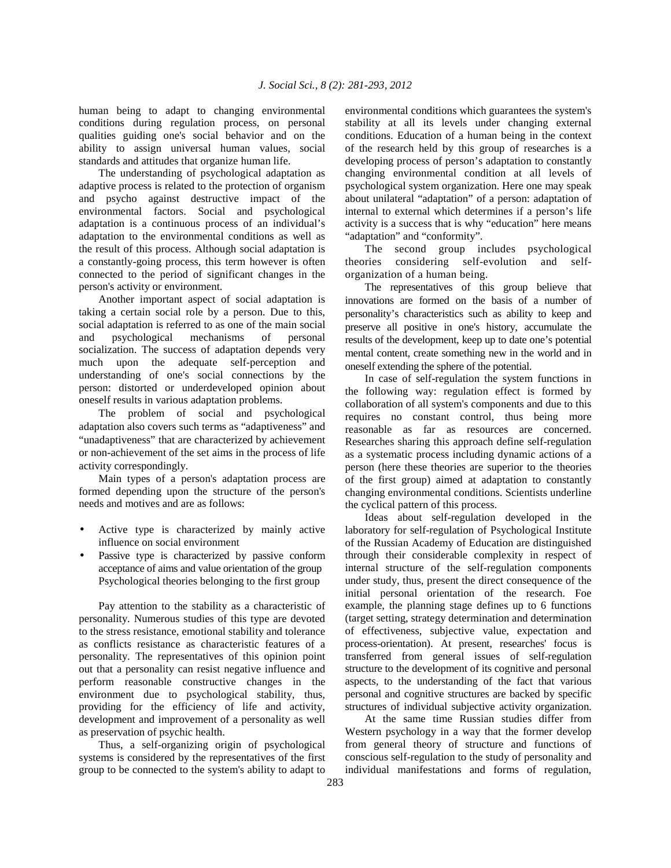human being to adapt to changing environmental conditions during regulation process, on personal qualities guiding one's social behavior and on the ability to assign universal human values, social standards and attitudes that organize human life.

 The understanding of psychological adaptation as adaptive process is related to the protection of organism and psycho against destructive impact of the environmental factors. Social and psychological adaptation is a continuous process of an individual's adaptation to the environmental conditions as well as the result of this process. Although social adaptation is a constantly-going process, this term however is often connected to the period of significant changes in the person's activity or environment.

 Another important aspect of social adaptation is taking a certain social role by a person. Due to this, social adaptation is referred to as one of the main social and psychological mechanisms of personal socialization. The success of adaptation depends very much upon the adequate self-perception and understanding of one's social connections by the person: distorted or underdeveloped opinion about oneself results in various adaptation problems.

 The problem of social and psychological adaptation also covers such terms as "adaptiveness" and "unadaptiveness" that are characterized by achievement or non-achievement of the set aims in the process of life activity correspondingly.

 Main types of a person's adaptation process are formed depending upon the structure of the person's needs and motives and are as follows:

- Active type is characterized by mainly active influence on social environment
- Passive type is characterized by passive conform acceptance of aims and value orientation of the group Psychological theories belonging to the first group

 Pay attention to the stability as a characteristic of personality. Numerous studies of this type are devoted to the stress resistance, emotional stability and tolerance as conflicts resistance as characteristic features of a personality. The representatives of this opinion point out that a personality can resist negative influence and perform reasonable constructive changes in the environment due to psychological stability, thus, providing for the efficiency of life and activity, development and improvement of a personality as well as preservation of psychic health.

 Thus, a self-organizing origin of psychological systems is considered by the representatives of the first group to be connected to the system's ability to adapt to environmental conditions which guarantees the system's stability at all its levels under changing external conditions. Education of a human being in the context of the research held by this group of researches is a developing process of person's adaptation to constantly changing environmental condition at all levels of psychological system organization. Here one may speak about unilateral "adaptation" of a person: adaptation of internal to external which determines if a person's life activity is a success that is why "education" here means "adaptation" and "conformity".

 The second group includes psychological theories considering self-evolution and selforganization of a human being.

 The representatives of this group believe that innovations are formed on the basis of a number of personality's characteristics such as ability to keep and preserve all positive in one's history, accumulate the results of the development, keep up to date one's potential mental content, create something new in the world and in oneself extending the sphere of the potential.

 In case of self-regulation the system functions in the following way: regulation effect is formed by collaboration of all system's components and due to this requires no constant control, thus being more reasonable as far as resources are concerned. Researches sharing this approach define self-regulation as a systematic process including dynamic actions of a person (here these theories are superior to the theories of the first group) aimed at adaptation to constantly changing environmental conditions. Scientists underline the cyclical pattern of this process.

 Ideas about self-regulation developed in the laboratory for self-regulation of Psychological Institute of the Russian Academy of Education are distinguished through their considerable complexity in respect of internal structure of the self-regulation components under study, thus, present the direct consequence of the initial personal orientation of the research. Foe example, the planning stage defines up to 6 functions (target setting, strategy determination and determination of effectiveness, subjective value, expectation and process-orientation). At present, researches' focus is transferred from general issues of self-regulation structure to the development of its cognitive and personal aspects, to the understanding of the fact that various personal and cognitive structures are backed by specific structures of individual subjective activity organization.

 At the same time Russian studies differ from Western psychology in a way that the former develop from general theory of structure and functions of conscious self-regulation to the study of personality and individual manifestations and forms of regulation,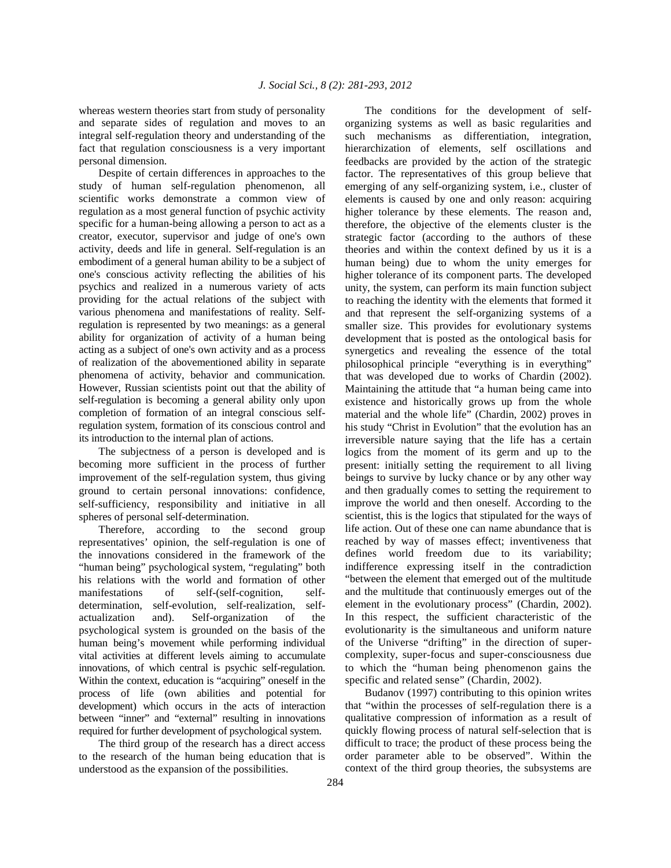whereas western theories start from study of personality and separate sides of regulation and moves to an integral self-regulation theory and understanding of the fact that regulation consciousness is a very important personal dimension.

 Despite of certain differences in approaches to the study of human self-regulation phenomenon, all scientific works demonstrate a common view of regulation as a most general function of psychic activity specific for a human-being allowing a person to act as a creator, executor, supervisor and judge of one's own activity, deeds and life in general. Self-regulation is an embodiment of a general human ability to be a subject of one's conscious activity reflecting the abilities of his psychics and realized in a numerous variety of acts providing for the actual relations of the subject with various phenomena and manifestations of reality. Selfregulation is represented by two meanings: as a general ability for organization of activity of a human being acting as a subject of one's own activity and as a process of realization of the abovementioned ability in separate phenomena of activity, behavior and communication. However, Russian scientists point out that the ability of self-regulation is becoming a general ability only upon completion of formation of an integral conscious selfregulation system, formation of its conscious control and its introduction to the internal plan of actions.

 The subjectness of a person is developed and is becoming more sufficient in the process of further improvement of the self-regulation system, thus giving ground to certain personal innovations: confidence, self-sufficiency, responsibility and initiative in all spheres of personal self-determination.

 Therefore, according to the second group representatives' opinion, the self-regulation is one of the innovations considered in the framework of the "human being" psychological system, "regulating" both his relations with the world and formation of other manifestations of self-(self-cognition, selfdetermination, self-evolution, self-realization, selfactualization and). Self-organization of the psychological system is grounded on the basis of the human being's movement while performing individual vital activities at different levels aiming to accumulate innovations, of which central is psychic self-regulation. Within the context, education is "acquiring" oneself in the process of life (own abilities and potential for development) which occurs in the acts of interaction between "inner" and "external" resulting in innovations required for further development of psychological system.

 The third group of the research has a direct access to the research of the human being education that is understood as the expansion of the possibilities.

 The conditions for the development of selforganizing systems as well as basic regularities and such mechanisms as differentiation, integration, hierarchization of elements, self oscillations and feedbacks are provided by the action of the strategic factor. The representatives of this group believe that emerging of any self-organizing system, i.e., cluster of elements is caused by one and only reason: acquiring higher tolerance by these elements. The reason and, therefore, the objective of the elements cluster is the strategic factor (according to the authors of these theories and within the context defined by us it is a human being) due to whom the unity emerges for higher tolerance of its component parts. The developed unity, the system, can perform its main function subject to reaching the identity with the elements that formed it and that represent the self-organizing systems of a smaller size. This provides for evolutionary systems development that is posted as the ontological basis for synergetics and revealing the essence of the total philosophical principle "everything is in everything" that was developed due to works of Chardin (2002). Maintaining the attitude that "a human being came into existence and historically grows up from the whole material and the whole life" (Chardin, 2002) proves in his study "Christ in Evolution" that the evolution has an irreversible nature saying that the life has a certain logics from the moment of its germ and up to the present: initially setting the requirement to all living beings to survive by lucky chance or by any other way and then gradually comes to setting the requirement to improve the world and then oneself. According to the scientist, this is the logics that stipulated for the ways of life action. Out of these one can name abundance that is reached by way of masses effect; inventiveness that defines world freedom due to its variability; indifference expressing itself in the contradiction "between the element that emerged out of the multitude and the multitude that continuously emerges out of the element in the evolutionary process" (Chardin, 2002). In this respect, the sufficient characteristic of the evolutionarity is the simultaneous and uniform nature of the Universe "drifting" in the direction of supercomplexity, super-focus and super-consciousness due to which the "human being phenomenon gains the specific and related sense" (Chardin, 2002).

 Budanov (1997) contributing to this opinion writes that "within the processes of self-regulation there is a qualitative compression of information as a result of quickly flowing process of natural self-selection that is difficult to trace; the product of these process being the order parameter able to be observed". Within the context of the third group theories, the subsystems are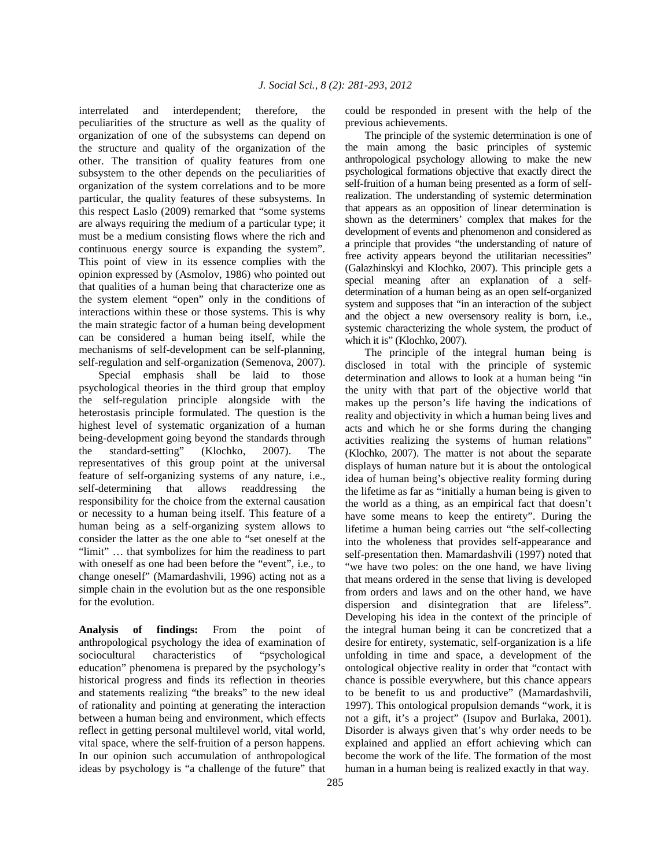interrelated and interdependent; therefore, the peculiarities of the structure as well as the quality of organization of one of the subsystems can depend on the structure and quality of the organization of the other. The transition of quality features from one subsystem to the other depends on the peculiarities of organization of the system correlations and to be more particular, the quality features of these subsystems. In this respect Laslo (2009) remarked that "some systems are always requiring the medium of a particular type; it must be a medium consisting flows where the rich and continuous energy source is expanding the system". This point of view in its essence complies with the opinion expressed by (Asmolov, 1986) who pointed out that qualities of a human being that characterize one as the system element "open" only in the conditions of interactions within these or those systems. This is why the main strategic factor of a human being development can be considered a human being itself, while the mechanisms of self-development can be self-planning, self-regulation and self-organization (Semenova, 2007).

 Special emphasis shall be laid to those psychological theories in the third group that employ the self-regulation principle alongside with the heterostasis principle formulated. The question is the highest level of systematic organization of a human being-development going beyond the standards through the standard-setting" (Klochko, 2007). The representatives of this group point at the universal feature of self-organizing systems of any nature, i.e., self-determining that allows readdressing responsibility for the choice from the external causation or necessity to a human being itself. This feature of a human being as a self-organizing system allows to consider the latter as the one able to "set oneself at the "limit" … that symbolizes for him the readiness to part with oneself as one had been before the "event", i.e., to change oneself" (Mamardashvili, 1996) acting not as a simple chain in the evolution but as the one responsible for the evolution.

**Analysis of findings:** From the point of anthropological psychology the idea of examination of sociocultural characteristics of "psychological education" phenomena is prepared by the psychology's historical progress and finds its reflection in theories and statements realizing "the breaks" to the new ideal of rationality and pointing at generating the interaction between a human being and environment, which effects reflect in getting personal multilevel world, vital world, vital space, where the self-fruition of a person happens. In our opinion such accumulation of anthropological ideas by psychology is "a challenge of the future" that

could be responded in present with the help of the previous achievements.

 The principle of the systemic determination is one of the main among the basic principles of systemic anthropological psychology allowing to make the new psychological formations objective that exactly direct the self-fruition of a human being presented as a form of selfrealization. The understanding of systemic determination that appears as an opposition of linear determination is shown as the determiners' complex that makes for the development of events and phenomenon and considered as a principle that provides "the understanding of nature of free activity appears beyond the utilitarian necessities" (Galazhinskyi and Klochko, 2007). This principle gets a special meaning after an explanation of a selfdetermination of a human being as an open self-organized system and supposes that "in an interaction of the subject and the object a new oversensory reality is born, i.e., systemic characterizing the whole system, the product of which it is" (Klochko, 2007).

 The principle of the integral human being is disclosed in total with the principle of systemic determination and allows to look at a human being "in the unity with that part of the objective world that makes up the person's life having the indications of reality and objectivity in which a human being lives and acts and which he or she forms during the changing activities realizing the systems of human relations" (Klochko, 2007). The matter is not about the separate displays of human nature but it is about the ontological idea of human being's objective reality forming during the lifetime as far as "initially a human being is given to the world as a thing, as an empirical fact that doesn't have some means to keep the entirety". During the lifetime a human being carries out "the self-collecting into the wholeness that provides self-appearance and self-presentation then. Mamardashvili (1997) noted that "we have two poles: on the one hand, we have living that means ordered in the sense that living is developed from orders and laws and on the other hand, we have dispersion and disintegration that are lifeless". Developing his idea in the context of the principle of the integral human being it can be concretized that a desire for entirety, systematic, self-organization is a life unfolding in time and space, a development of the ontological objective reality in order that "contact with chance is possible everywhere, but this chance appears to be benefit to us and productive" (Mamardashvili, 1997). This ontological propulsion demands "work, it is not a gift, it's a project" (Isupov and Burlaka, 2001). Disorder is always given that's why order needs to be explained and applied an effort achieving which can become the work of the life. The formation of the most human in a human being is realized exactly in that way.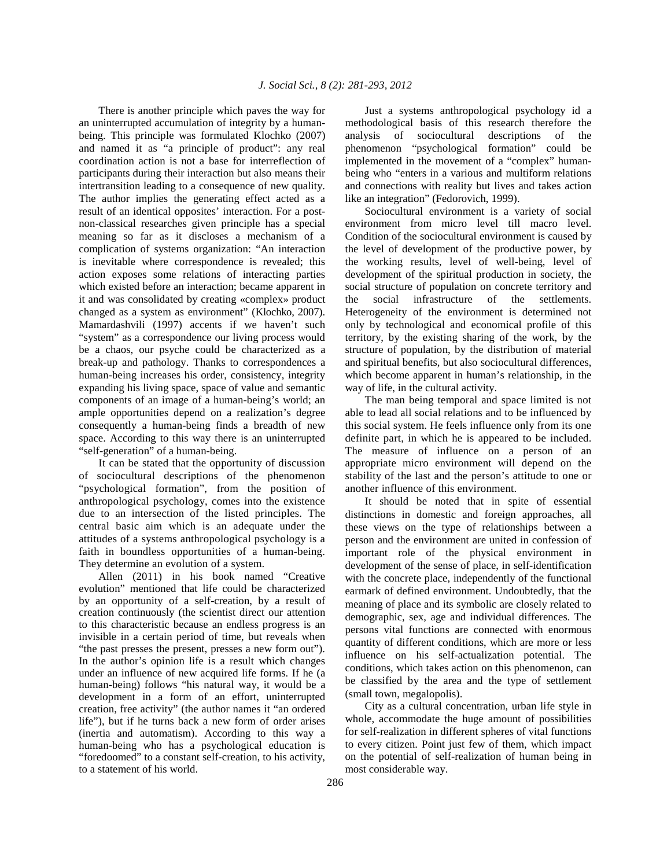There is another principle which paves the way for an uninterrupted accumulation of integrity by a humanbeing. This principle was formulated Klochko (2007) and named it as "a principle of product": any real coordination action is not a base for interreflection of participants during their interaction but also means their intertransition leading to a consequence of new quality. The author implies the generating effect acted as a result of an identical opposites' interaction. For a postnon-classical researches given principle has a special meaning so far as it discloses a mechanism of a complication of systems organization: "An interaction is inevitable where correspondence is revealed; this action exposes some relations of interacting parties which existed before an interaction; became apparent in it and was consolidated by creating «complex» product changed as a system as environment" (Klochko, 2007). Mamardashvili (1997) accents if we haven't such "system" as a correspondence our living process would be a chaos, our psyche could be characterized as a break-up and pathology. Thanks to correspondences a human-being increases his order, consistency, integrity expanding his living space, space of value and semantic components of an image of a human-being's world; an ample opportunities depend on a realization's degree consequently a human-being finds a breadth of new space. According to this way there is an uninterrupted "self-generation" of a human-being.

 It can be stated that the opportunity of discussion of sociocultural descriptions of the phenomenon "psychological formation", from the position of anthropological psychology, comes into the existence due to an intersection of the listed principles. The central basic aim which is an adequate under the attitudes of a systems anthropological psychology is a faith in boundless opportunities of a human-being. They determine an evolution of a system.

 Allen (2011) in his book named "Creative evolution" mentioned that life could be characterized by an opportunity of a self-creation, by a result of creation continuously (the scientist direct our attention to this characteristic because an endless progress is an invisible in a certain period of time, but reveals when "the past presses the present, presses a new form out"). In the author's opinion life is a result which changes under an influence of new acquired life forms. If he (a human-being) follows "his natural way, it would be a development in a form of an effort, uninterrupted creation, free activity" (the author names it "an ordered life"), but if he turns back a new form of order arises (inertia and automatism). According to this way a human-being who has a psychological education is "foredoomed" to a constant self-creation, to his activity, to a statement of his world.

 Just a systems anthropological psychology id a methodological basis of this research therefore the analysis of sociocultural descriptions of the phenomenon "psychological formation" could be implemented in the movement of a "complex" humanbeing who "enters in a various and multiform relations and connections with reality but lives and takes action like an integration" (Fedorovich, 1999).

 Sociocultural environment is a variety of social environment from micro level till macro level. Condition of the sociocultural environment is caused by the level of development of the productive power, by the working results, level of well-being, level of development of the spiritual production in society, the social structure of population on concrete territory and the social infrastructure of the settlements. Heterogeneity of the environment is determined not only by technological and economical profile of this territory, by the existing sharing of the work, by the structure of population, by the distribution of material and spiritual benefits, but also sociocultural differences, which become apparent in human's relationship, in the way of life, in the cultural activity.

 The man being temporal and space limited is not able to lead all social relations and to be influenced by this social system. He feels influence only from its one definite part, in which he is appeared to be included. The measure of influence on a person of an appropriate micro environment will depend on the stability of the last and the person's attitude to one or another influence of this environment.

 It should be noted that in spite of essential distinctions in domestic and foreign approaches, all these views on the type of relationships between a person and the environment are united in confession of important role of the physical environment in development of the sense of place, in self-identification with the concrete place, independently of the functional earmark of defined environment. Undoubtedly, that the meaning of place and its symbolic are closely related to demographic, sex, age and individual differences. The persons vital functions are connected with enormous quantity of different conditions, which are more or less influence on his self-actualization potential. The conditions, which takes action on this phenomenon, can be classified by the area and the type of settlement (small town, megalopolis).

 City as a cultural concentration, urban life style in whole, accommodate the huge amount of possibilities for self-realization in different spheres of vital functions to every citizen. Point just few of them, which impact on the potential of self-realization of human being in most considerable way.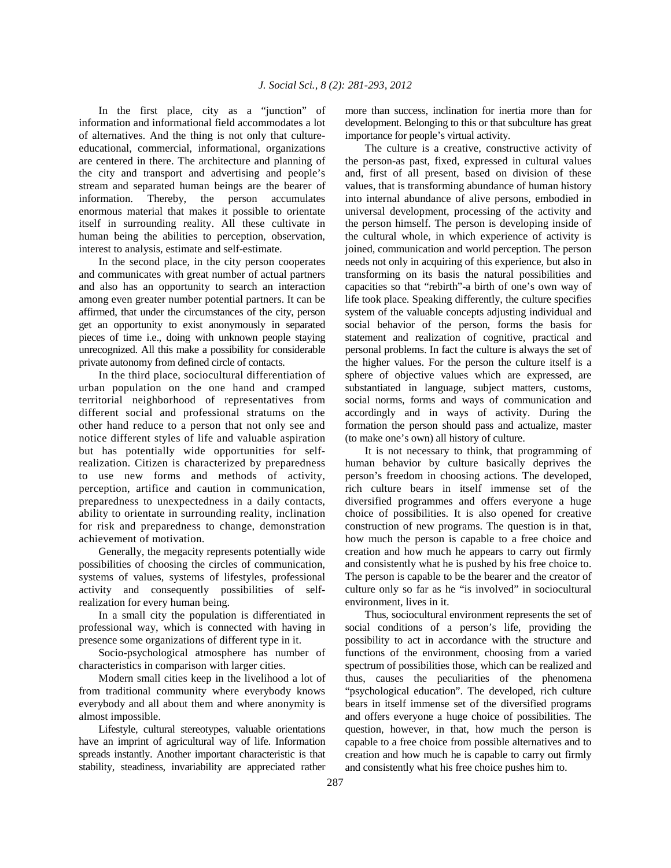In the first place, city as a "junction" of information and informational field accommodates a lot of alternatives. And the thing is not only that cultureeducational, commercial, informational, organizations are centered in there. The architecture and planning of the city and transport and advertising and people's stream and separated human beings are the bearer of information. Thereby, the person accumulates enormous material that makes it possible to orientate itself in surrounding reality. All these cultivate in human being the abilities to perception, observation, interest to analysis, estimate and self-estimate.

 In the second place, in the city person cooperates and communicates with great number of actual partners and also has an opportunity to search an interaction among even greater number potential partners. It can be affirmed, that under the circumstances of the city, person get an opportunity to exist anonymously in separated pieces of time i.e., doing with unknown people staying unrecognized. All this make a possibility for considerable private autonomy from defined circle of contacts.

 In the third place, sociocultural differentiation of urban population on the one hand and cramped territorial neighborhood of representatives from different social and professional stratums on the other hand reduce to a person that not only see and notice different styles of life and valuable aspiration but has potentially wide opportunities for selfrealization. Citizen is characterized by preparedness to use new forms and methods of activity, perception, artifice and caution in communication, preparedness to unexpectedness in a daily contacts, ability to orientate in surrounding reality, inclination for risk and preparedness to change, demonstration achievement of motivation.

 Generally, the megacity represents potentially wide possibilities of choosing the circles of communication, systems of values, systems of lifestyles, professional activity and consequently possibilities of selfrealization for every human being.

 In a small city the population is differentiated in professional way, which is connected with having in presence some organizations of different type in it.

 Socio-psychological atmosphere has number of characteristics in comparison with larger cities.

 Modern small cities keep in the livelihood a lot of from traditional community where everybody knows everybody and all about them and where anonymity is almost impossible.

 Lifestyle, cultural stereotypes, valuable orientations have an imprint of agricultural way of life. Information spreads instantly. Another important characteristic is that stability, steadiness, invariability are appreciated rather more than success, inclination for inertia more than for development. Belonging to this or that subculture has great importance for people's virtual activity.

 The culture is a creative, constructive activity of the person-as past, fixed, expressed in cultural values and, first of all present, based on division of these values, that is transforming abundance of human history into internal abundance of alive persons, embodied in universal development, processing of the activity and the person himself. The person is developing inside of the cultural whole, in which experience of activity is joined, communication and world perception. The person needs not only in acquiring of this experience, but also in transforming on its basis the natural possibilities and capacities so that "rebirth"-a birth of one's own way of life took place. Speaking differently, the culture specifies system of the valuable concepts adjusting individual and social behavior of the person, forms the basis for statement and realization of cognitive, practical and personal problems. In fact the culture is always the set of the higher values. For the person the culture itself is a sphere of objective values which are expressed, are substantiated in language, subject matters, customs, social norms, forms and ways of communication and accordingly and in ways of activity. During the formation the person should pass and actualize, master (to make one's own) all history of culture.

 It is not necessary to think, that programming of human behavior by culture basically deprives the person's freedom in choosing actions. The developed, rich culture bears in itself immense set of the diversified programmes and offers everyone a huge choice of possibilities. It is also opened for creative construction of new programs. The question is in that, how much the person is capable to a free choice and creation and how much he appears to carry out firmly and consistently what he is pushed by his free choice to. The person is capable to be the bearer and the creator of culture only so far as he "is involved" in sociocultural environment, lives in it.

 Thus, sociocultural environment represents the set of social conditions of a person's life, providing the possibility to act in accordance with the structure and functions of the environment, choosing from a varied spectrum of possibilities those, which can be realized and thus, causes the peculiarities of the phenomena "psychological education". The developed, rich culture bears in itself immense set of the diversified programs and offers everyone a huge choice of possibilities. The question, however, in that, how much the person is capable to a free choice from possible alternatives and to creation and how much he is capable to carry out firmly and consistently what his free choice pushes him to.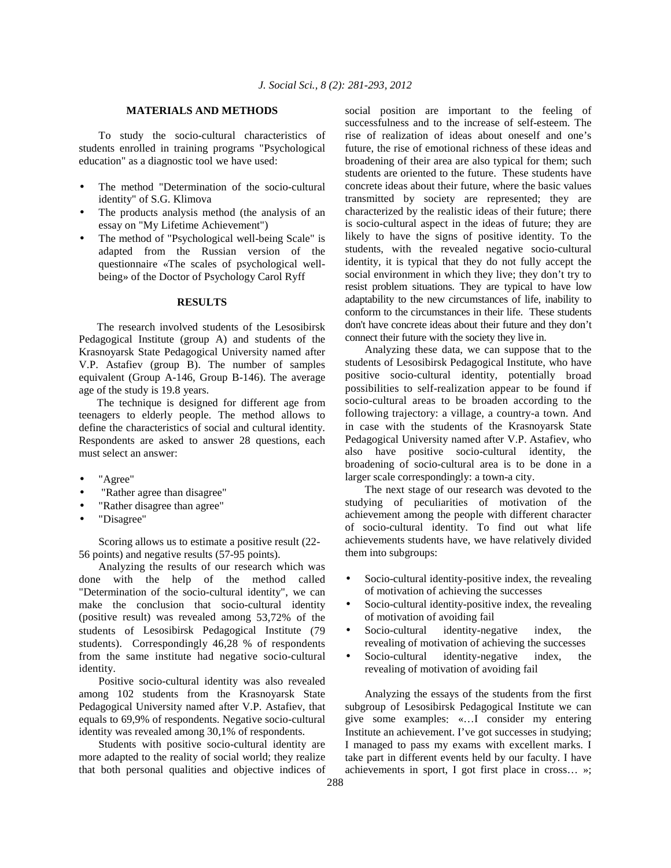## **MATERIALS AND METHODS**

 To study the socio-cultural characteristics of students enrolled in training programs "Psychological education" as a diagnostic tool we have used:

- The method "Determination of the socio-cultural identity" of S.G. Klimova
- The products analysis method (the analysis of an essay on "My Lifetime Achievement")
- The method of "Psychological well-being Scale" is adapted from the Russian version of the questionnaire «The scales of psychological wellbeing» of the Doctor of Psychology Carol Ryff

### **RESULTS**

The research involved students of the Lesosibirsk Pedagogical Institute (group A) and students of the Krasnoyarsk State Pedagogical University named after V.P. Astafiev (group B). The number of samples equivalent (Group A-146, Group B-146). The average age of the study is 19.8 years.

The technique is designed for different age from teenagers to elderly people. The method allows to define the characteristics of social and cultural identity. Respondents are asked to answer 28 questions, each must select an answer:

- "Agree"
- "Rather agree than disagree"
- "Rather disagree than agree"
- "Disagree"

 Scoring allows us to estimate a positive result (22- 56 points) and negative results (57-95 points).

 Analyzing the results of our research which was done with the help of the method called "Determination of the socio-cultural identity", we can make the conclusion that socio-cultural identity (positive result) was revealed among 53,72% of the students of Lesosibirsk Pedagogical Institute (79 students). Correspondingly 46,28 % of respondents from the same institute had negative socio-cultural identity.

 Positive socio-cultural identity was also revealed among 102 students from the Krasnoyarsk State Pedagogical University named after V.P. Astafiev, that equals to 69,9% of respondents. Negative socio-cultural identity was revealed among 30,1% of respondents.

 Students with positive socio-cultural identity are more adapted to the reality of social world; they realize that both personal qualities and objective indices of social position are important to the feeling of successfulness and to the increase of self-esteem. The rise of realization of ideas about oneself and one's future, the rise of emotional richness of these ideas and broadening of their area are also typical for them; such students are oriented to the future. These students have concrete ideas about their future, where the basic values transmitted by society are represented; they are characterized by the realistic ideas of their future; there is socio-cultural aspect in the ideas of future; they are likely to have the signs of positive identity. To the students, with the revealed negative socio-cultural identity, it is typical that they do not fully accept the social environment in which they live; they don't try to resist problem situations. They are typical to have low adaptability to the new circumstances of life, inability to conform to the circumstances in their life. These students don't have concrete ideas about their future and they don't connect their future with the society they live in.

 Analyzing these data, we can suppose that to the students of Lesosibirsk Pedagogical Institute, who have positive socio-cultural identity, potentially broad possibilities to self-realization appear to be found if socio-cultural areas to be broaden according to the following trajectory: a village, a country-a town. And in case with the students of the Krasnoyarsk State Pedagogical University named after V.P. Astafiev, who also have positive socio-cultural identity, the broadening of socio-cultural area is to be done in a larger scale correspondingly: a town-a city.

 The next stage of our research was devoted to the studying of peculiarities of motivation of the achievement among the people with different character of socio-cultural identity. To find out what life achievements students have, we have relatively divided them into subgroups:

- Socio-cultural identity-positive index, the revealing of motivation of achieving the successes
- Socio-cultural identity-positive index, the revealing of motivation of avoiding fail
- Socio-cultural identity-negative index, the revealing of motivation of achieving the successes
- Socio-cultural identity-negative index, the revealing of motivation of avoiding fail

 Analyzing the essays of the students from the first subgroup of Lesosibirsk Pedagogical Institute we can give some examples: «…I consider my entering Institute an achievement. I've got successes in studying; I managed to pass my exams with excellent marks. I take part in different events held by our faculty. I have achievements in sport, I got first place in cross… »;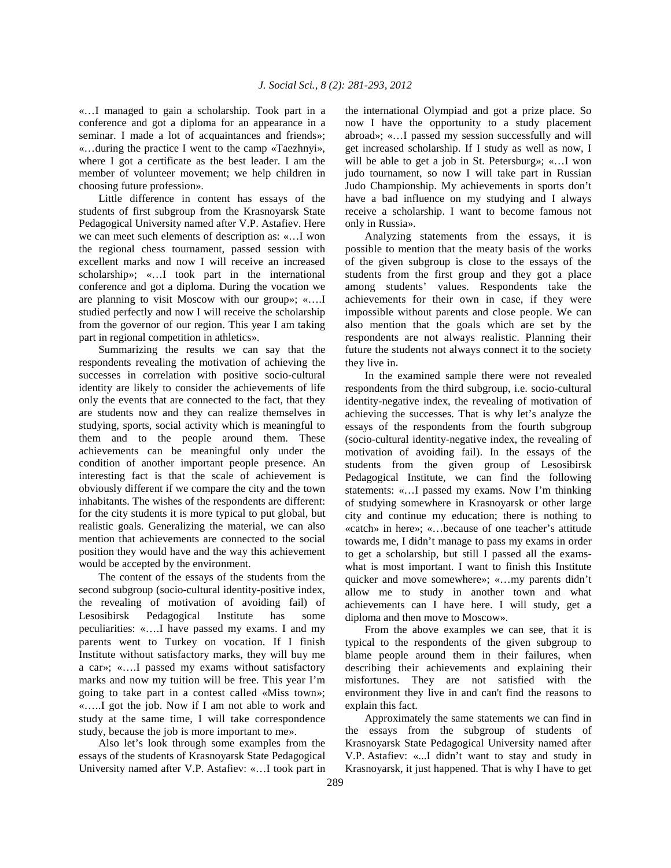«…I managed to gain a scholarship. Took part in a conference and got a diploma for an appearance in a seminar. I made a lot of acquaintances and friends»; «…during the practice I went to the camp «Taezhnyi», where I got a certificate as the best leader. I am the member of volunteer movement; we help children in choosing future profession».

 Little difference in content has essays of the students of first subgroup from the Krasnoyarsk State Pedagogical University named after V.P. Astafiev. Here we can meet such elements of description as: «…I won the regional chess tournament, passed session with excellent marks and now I will receive an increased scholarship»; «…I took part in the international conference and got a diploma. During the vocation we are planning to visit Moscow with our group»; «….I studied perfectly and now I will receive the scholarship from the governor of our region. This year I am taking part in regional competition in athletics».

 Summarizing the results we can say that the respondents revealing the motivation of achieving the successes in correlation with positive socio-cultural identity are likely to consider the achievements of life only the events that are connected to the fact, that they are students now and they can realize themselves in studying, sports, social activity which is meaningful to them and to the people around them. These achievements can be meaningful only under the condition of another important people presence. An interesting fact is that the scale of achievement is obviously different if we compare the city and the town inhabitants. The wishes of the respondents are different: for the city students it is more typical to put global, but realistic goals. Generalizing the material, we can also mention that achievements are connected to the social position they would have and the way this achievement would be accepted by the environment.

 The content of the essays of the students from the second subgroup (socio-cultural identity-positive index, the revealing of motivation of avoiding fail) of Lesosibirsk Pedagogical Institute has some peculiarities: «….I have passed my exams. I and my parents went to Turkey on vocation. If I finish Institute without satisfactory marks, they will buy me a car»; «….I passed my exams without satisfactory marks and now my tuition will be free. This year I'm going to take part in a contest called «Miss town»; «…..I got the job. Now if I am not able to work and study at the same time, I will take correspondence study, because the job is more important to me».

 Also let's look through some examples from the essays of the students of Krasnoyarsk State Pedagogical University named after V.P. Astafiev: «…I took part in the international Olympiad and got a prize place. So now I have the opportunity to a study placement abroad»; «…I passed my session successfully and will get increased scholarship. If I study as well as now, I will be able to get a job in St. Petersburg»; «…I won judo tournament, so now I will take part in Russian Judo Championship. My achievements in sports don't have a bad influence on my studying and I always receive a scholarship. I want to become famous not only in Russia».

 Analyzing statements from the essays, it is possible to mention that the meaty basis of the works of the given subgroup is close to the essays of the students from the first group and they got a place among students' values. Respondents take the achievements for their own in case, if they were impossible without parents and close people. We can also mention that the goals which are set by the respondents are not always realistic. Planning their future the students not always connect it to the society they live in.

 In the examined sample there were not revealed respondents from the third subgroup, i.e. socio-cultural identity-negative index, the revealing of motivation of achieving the successes. That is why let's analyze the essays of the respondents from the fourth subgroup (socio-cultural identity-negative index, the revealing of motivation of avoiding fail). In the essays of the students from the given group of Lesosibirsk Pedagogical Institute, we can find the following statements: «…I passed my exams. Now I'm thinking of studying somewhere in Krasnoyarsk or other large city and continue my education; there is nothing to «catch» in here»; «…because of one teacher's attitude towards me, I didn't manage to pass my exams in order to get a scholarship, but still I passed all the examswhat is most important. I want to finish this Institute quicker and move somewhere»; «…my parents didn't allow me to study in another town and what achievements can I have here. I will study, get a diploma and then move to Moscow».

 From the above examples we can see, that it is typical to the respondents of the given subgroup to blame people around them in their failures, when describing their achievements and explaining their misfortunes. They are not satisfied with the environment they live in and can't find the reasons to explain this fact.

 Approximately the same statements we can find in the essays from the subgroup of students of Krasnoyarsk State Pedagogical University named after V.P. Astafiev: «...I didn't want to stay and study in Krasnoyarsk, it just happened. That is why I have to get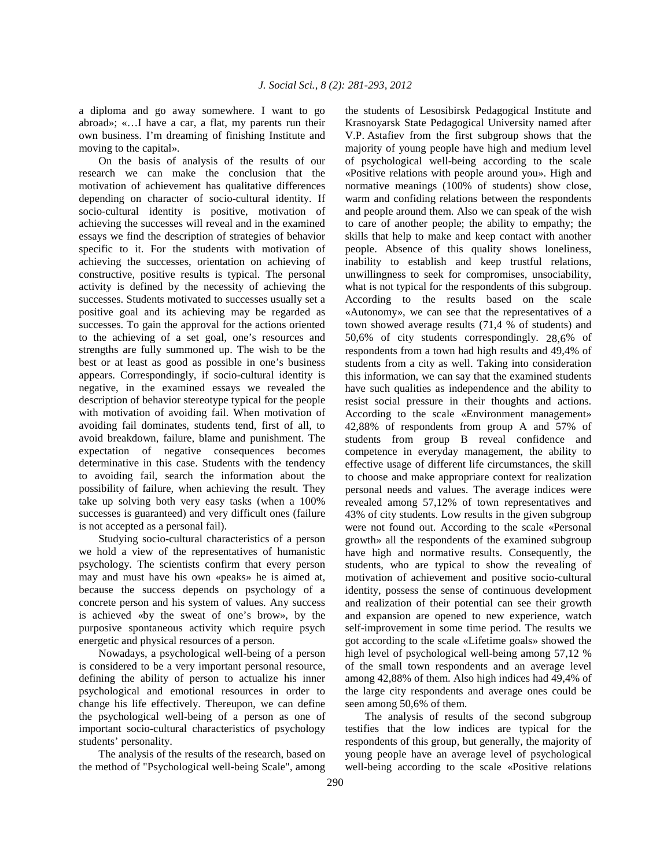a diploma and go away somewhere. I want to go abroad»; «…I have a car, a flat, my parents run their own business. I'm dreaming of finishing Institute and moving to the capital».

 On the basis of analysis of the results of our research we can make the conclusion that the motivation of achievement has qualitative differences depending on character of socio-cultural identity. If socio-cultural identity is positive, motivation of achieving the successes will reveal and in the examined essays we find the description of strategies of behavior specific to it. For the students with motivation of achieving the successes, orientation on achieving of constructive, positive results is typical. The personal activity is defined by the necessity of achieving the successes. Students motivated to successes usually set a positive goal and its achieving may be regarded as successes. To gain the approval for the actions oriented to the achieving of a set goal, one's resources and strengths are fully summoned up. The wish to be the best or at least as good as possible in one's business appears. Correspondingly, if socio-cultural identity is negative, in the examined essays we revealed the description of behavior stereotype typical for the people with motivation of avoiding fail. When motivation of avoiding fail dominates, students tend, first of all, to avoid breakdown, failure, blame and punishment. The expectation of negative consequences becomes determinative in this case. Students with the tendency to avoiding fail, search the information about the possibility of failure, when achieving the result. They take up solving both very easy tasks (when a 100% successes is guaranteed) and very difficult ones (failure is not accepted as a personal fail).

 Studying socio-cultural characteristics of a person we hold a view of the representatives of humanistic psychology. The scientists confirm that every person may and must have his own «peaks» he is aimed at, because the success depends on psychology of a concrete person and his system of values. Any success is achieved «by the sweat of one's brow», by the purposive spontaneous activity which require psych energetic and physical resources of a person.

 Nowadays, a psychological well-being of a person is considered to be a very important personal resource, defining the ability of person to actualize his inner psychological and emotional resources in order to change his life effectively. Thereupon, we can define the psychological well-being of a person as one of important socio-cultural characteristics of psychology students' personality.

 The analysis of the results of the research, based on the method of "Psychological well-being Scale", among the students of Lesosibirsk Pedagogical Institute and Krasnoyarsk State Pedagogical University named after V.P. Astafiev from the first subgroup shows that the majority of young people have high and medium level of psychological well-being according to the scale «Positive relations with people around you». High and normative meanings (100% of students) show close, warm and confiding relations between the respondents and people around them. Also we can speak of the wish to care of another people; the ability to empathy; the skills that help to make and keep contact with another people. Absence of this quality shows loneliness, inability to establish and keep trustful relations, unwillingness to seek for compromises, unsociability, what is not typical for the respondents of this subgroup. According to the results based on the scale «Autonomy», we can see that the representatives of a town showed average results (71,4 % of students) and 50,6% of city students correspondingly. 28,6% of respondents from a town had high results and 49,4% of students from a city as well. Taking into consideration this information, we can say that the examined students have such qualities as independence and the ability to resist social pressure in their thoughts and actions. According to the scale «Environment management» 42,88% of respondents from group A and 57% of students from group B reveal confidence and competence in everyday management, the ability to effective usage of different life circumstances, the skill to choose and make appropriare context for realization personal needs and values. The average indices were revealed among 57,12% of town representatives and 43% of city students. Low results in the given subgroup were not found out. According to the scale «Personal growth» all the respondents of the examined subgroup have high and normative results. Consequently, the students, who are typical to show the revealing of motivation of achievement and positive socio-cultural identity, possess the sense of continuous development and realization of their potential can see their growth and expansion are opened to new experience, watch self-improvement in some time period. The results we got according to the scale «Lifetime goals» showed the high level of psychological well-being among 57,12 % of the small town respondents and an average level among 42,88% of them. Also high indices had 49,4% of the large city respondents and average ones could be seen among 50,6% of them.

 The analysis of results of the second subgroup testifies that the low indices are typical for the respondents of this group, but generally, the majority of young people have an average level of psychological well-being according to the scale «Positive relations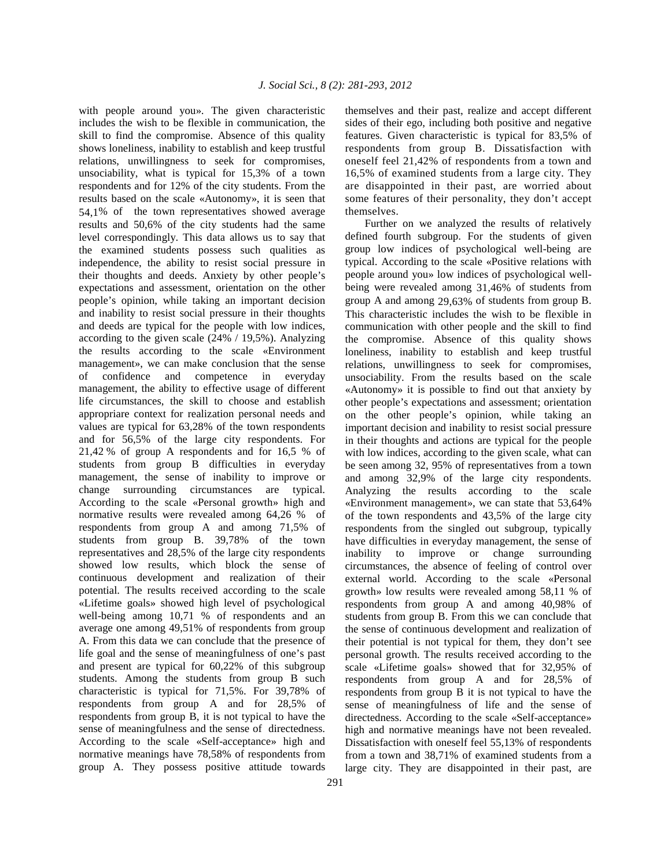with people around you». The given characteristic includes the wish to be flexible in communication, the skill to find the compromise. Absence of this quality shows loneliness, inability to establish and keep trustful relations, unwillingness to seek for compromises, unsociability, what is typical for 15,3% of a town respondents and for 12% of the city students. From the results based on the scale «Autonomy», it is seen that 54,1% of the town representatives showed average results and 50,6% of the city students had the same level correspondingly. This data allows us to say that the examined students possess such qualities as independence, the ability to resist social pressure in their thoughts and deeds. Anxiety by other people's expectations and assessment, orientation on the other people's opinion, while taking an important decision and inability to resist social pressure in their thoughts and deeds are typical for the people with low indices, according to the given scale (24% / 19,5%). Analyzing the results according to the scale «Environment management», we can make conclusion that the sense of confidence and competence in everyday management, the ability to effective usage of different life circumstances, the skill to choose and establish appropriare context for realization personal needs and values are typical for 63,28% of the town respondents and for 56,5% of the large city respondents. For 21,42 % of group A respondents and for 16,5 % of students from group B difficulties in everyday management, the sense of inability to improve or change surrounding circumstances are typical. According to the scale «Personal growth» high and normative results were revealed among 64,26 % of respondents from group A and among 71,5% of students from group B. 39,78% of the town representatives and 28,5% of the large city respondents showed low results, which block the sense of continuous development and realization of their potential. The results received according to the scale «Lifetime goals» showed high level of psychological well-being among 10,71 % of respondents and an average one among 49,51% of respondents from group A. From this data we can conclude that the presence of life goal and the sense of meaningfulness of one's past and present are typical for 60,22% of this subgroup students. Among the students from group B such characteristic is typical for 71,5%. For 39,78% of respondents from group A and for 28,5% of respondents from group B, it is not typical to have the sense of meaningfulness and the sense of directedness. According to the scale «Self-acceptance» high and normative meanings have 78,58% of respondents from group A. They possess positive attitude towards

themselves and their past, realize and accept different sides of their ego, including both positive and negative features. Given characteristic is typical for 83,5% of respondents from group B. Dissatisfaction with oneself feel 21,42% of respondents from a town and 16,5% of examined students from a large city. They are disappointed in their past, are worried about some features of their personality, they don't accept themselves.

 Further on we analyzed the results of relatively defined fourth subgroup. For the students of given group low indices of psychological well-being are typical. According to the scale «Positive relations with people around you» low indices of psychological wellbeing were revealed among 31,46% of students from group A and among 29,63% of students from group B. This characteristic includes the wish to be flexible in communication with other people and the skill to find the compromise. Absence of this quality shows loneliness, inability to establish and keep trustful relations, unwillingness to seek for compromises, unsociability. From the results based on the scale «Autonomy» it is possible to find out that anxiety by other people's expectations and assessment; orientation on the other people's opinion, while taking an important decision and inability to resist social pressure in their thoughts and actions are typical for the people with low indices, according to the given scale, what can be seen among 32, 95% of representatives from a town and among 32,9% of the large city respondents. Analyzing the results according to the scale «Environment management», we can state that 53,64% of the town respondents and 43,5% of the large city respondents from the singled out subgroup, typically have difficulties in everyday management, the sense of inability to improve or change surrounding circumstances, the absence of feeling of control over external world. According to the scale «Personal growth» low results were revealed among 58,11 % of respondents from group A and among 40,98% of students from group B. From this we can conclude that the sense of continuous development and realization of their potential is not typical for them, they don't see personal growth. The results received according to the scale «Lifetime goals» showed that for 32,95% of respondents from group A and for 28,5% of respondents from group B it is not typical to have the sense of meaningfulness of life and the sense of directedness. According to the scale «Self-acceptance» high and normative meanings have not been revealed. Dissatisfaction with oneself feel 55,13% of respondents from a town and 38,71% of examined students from a large city. They are disappointed in their past, are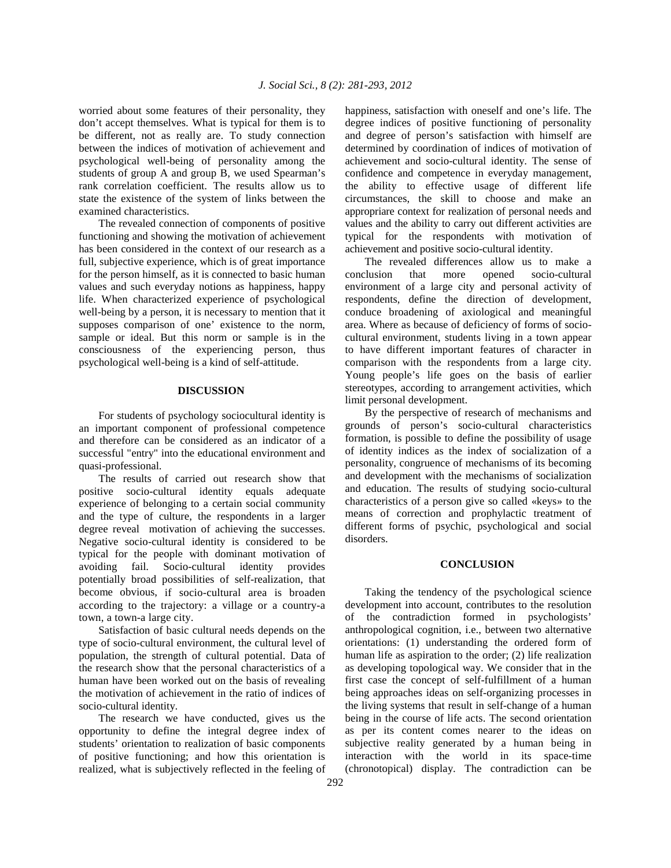worried about some features of their personality, they don't accept themselves. What is typical for them is to be different, not as really are. To study connection between the indices of motivation of achievement and psychological well-being of personality among the students of group A and group B, we used Spearman's rank correlation coefficient. The results allow us to state the existence of the system of links between the examined characteristics.

 The revealed connection of components of positive functioning and showing the motivation of achievement has been considered in the context of our research as a full, subjective experience, which is of great importance for the person himself, as it is connected to basic human values and such everyday notions as happiness, happy life. When characterized experience of psychological well-being by a person, it is necessary to mention that it supposes comparison of one' existence to the norm, sample or ideal. But this norm or sample is in the consciousness of the experiencing person, thus psychological well-being is a kind of self-attitude.

### **DISCUSSION**

 For students of psychology sociocultural identity is an important component of professional competence and therefore can be considered as an indicator of a successful "entry" into the educational environment and quasi-professional.

 The results of carried out research show that positive socio-cultural identity equals adequate experience of belonging to a certain social community and the type of culture, the respondents in a larger degree reveal motivation of achieving the successes. Negative socio-cultural identity is considered to be typical for the people with dominant motivation of avoiding fail. Socio-cultural identity provides potentially broad possibilities of self-realization, that become obvious, if socio-cultural area is broaden according to the trajectory: a village or a country-a town, a town-a large city.

 Satisfaction of basic cultural needs depends on the type of socio-cultural environment, the cultural level of population, the strength of cultural potential. Data of the research show that the personal characteristics of a human have been worked out on the basis of revealing the motivation of achievement in the ratio of indices of socio-cultural identity.

 The research we have conducted, gives us the opportunity to define the integral degree index of students' orientation to realization of basic components of positive functioning; and how this orientation is realized, what is subjectively reflected in the feeling of

happiness, satisfaction with oneself and one's life. The degree indices of positive functioning of personality and degree of person's satisfaction with himself are determined by coordination of indices of motivation of achievement and socio-cultural identity. The sense of confidence and competence in everyday management, the ability to effective usage of different life circumstances, the skill to choose and make an appropriare context for realization of personal needs and values and the ability to carry out different activities are typical for the respondents with motivation of achievement and positive socio-cultural identity.

 The revealed differences allow us to make a conclusion that more opened socio-cultural environment of a large city and personal activity of respondents, define the direction of development, conduce broadening of axiological and meaningful area. Where as because of deficiency of forms of sociocultural environment, students living in a town appear to have different important features of character in comparison with the respondents from a large city. Young people's life goes on the basis of earlier stereotypes, according to arrangement activities, which limit personal development.

 By the perspective of research of mechanisms and grounds of person's socio-cultural characteristics formation, is possible to define the possibility of usage of identity indices as the index of socialization of a personality, congruence of mechanisms of its becoming and development with the mechanisms of socialization and education. The results of studying socio-cultural characteristics of a person give so called «keys» to the means of correction and prophylactic treatment of different forms of psychic, psychological and social disorders.

#### **CONCLUSION**

 Taking the tendency of the psychological science development into account, contributes to the resolution of the contradiction formed in psychologists' anthropological cognition, i.e., between two alternative orientations: (1) understanding the ordered form of human life as aspiration to the order; (2) life realization as developing topological way. We consider that in the first case the concept of self-fulfillment of a human being approaches ideas on self-organizing processes in the living systems that result in self-change of a human being in the course of life acts. The second orientation as per its content comes nearer to the ideas on subjective reality generated by a human being in interaction with the world in its space-time (chronotopical) display. The contradiction can be